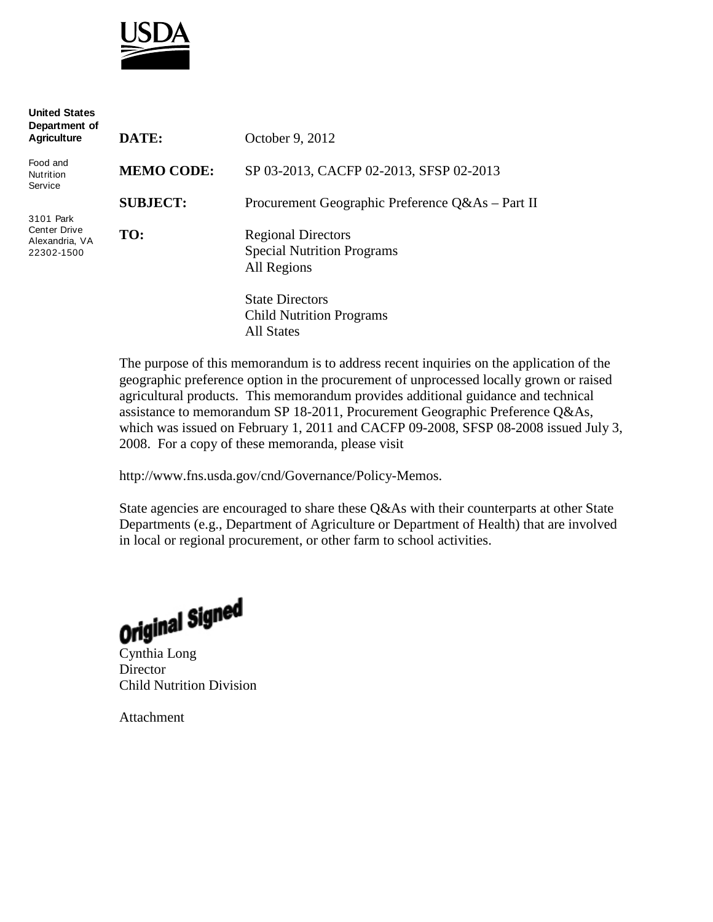

| <b>United States</b><br>Department of<br><b>Agriculture</b>      | DATE:             | October 9, 2012                                                               |
|------------------------------------------------------------------|-------------------|-------------------------------------------------------------------------------|
|                                                                  |                   |                                                                               |
| Food and<br>Nutrition<br>Service                                 | <b>MEMO CODE:</b> | SP 03-2013, CACFP 02-2013, SFSP 02-2013                                       |
|                                                                  | <b>SUBJECT:</b>   | Procurement Geographic Preference Q&As - Part II                              |
| 3101 Park<br><b>Center Drive</b><br>Alexandria, VA<br>22302-1500 | TO:               | <b>Regional Directors</b><br><b>Special Nutrition Programs</b><br>All Regions |
|                                                                  |                   | <b>State Directors</b><br><b>Child Nutrition Programs</b>                     |

All States

The purpose of this memorandum is to address recent inquiries on the application of the geographic preference option in the procurement of unprocessed locally grown or raised agricultural products. This memorandum provides additional guidance and technical assistance to memorandum SP 18-2011, Procurement Geographic Preference Q&As, which was issued on February 1, 2011 and CACFP 09-2008, SFSP 08-2008 issued July 3, 2008. For a copy of these memoranda, please visit

http://www.fns.usda.gov/cnd/Governance/Policy-Memos.

State agencies are encouraged to share these Q&As with their counterparts at other State Departments (e.g., Department of Agriculture or Department of Health) that are involved in local or regional procurement, or other farm to school activities.

**Original Signed** 

**Director** Child Nutrition Division

Attachment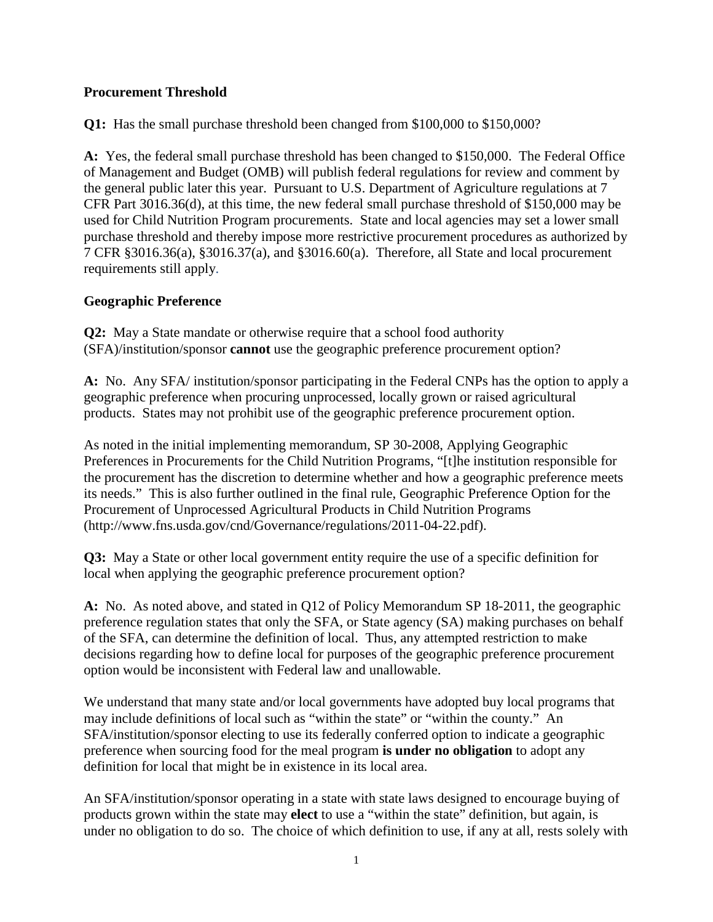## **Procurement Threshold**

**Q1:** Has the small purchase threshold been changed from \$100,000 to \$150,000?

**A:** Yes, the federal small purchase threshold has been changed to \$150,000. The Federal Office of Management and Budget (OMB) will publish federal regulations for review and comment by the general public later this year. Pursuant to U.S. Department of Agriculture regulations at 7 CFR Part 3016.36(d), at this time, the new federal small purchase threshold of \$150,000 may be used for Child Nutrition Program procurements. State and local agencies may set a lower small purchase threshold and thereby impose more restrictive procurement procedures as authorized by 7 CFR §3016.36(a), §3016.37(a), and §3016.60(a). Therefore, all State and local procurement requirements still apply.

## **Geographic Preference**

**Q2:** May a State mandate or otherwise require that a school food authority (SFA)/institution/sponsor **cannot** use the geographic preference procurement option?

**A:** No. Any SFA/ institution/sponsor participating in the Federal CNPs has the option to apply a geographic preference when procuring unprocessed, locally grown or raised agricultural products. States may not prohibit use of the geographic preference procurement option.

As noted in the initial implementing memorandum, SP 30-2008, Applying Geographic Preferences in Procurements for the Child Nutrition Programs, "[t]he institution responsible for the procurement has the discretion to determine whether and how a geographic preference meets its needs." This is also further outlined in the final rule, Geographic Preference Option for the Procurement of Unprocessed Agricultural Products in Child Nutrition Programs [\(http://www.fns.usda.gov/cnd/Governance/regulations/2011-04-22.pdf\).](http://www.fns.usda.gov/cnd/Governance/regulations/2011-04-22.pdf))

**Q3:** May a State or other local government entity require the use of a specific definition for local when applying the geographic preference procurement option?

**A:** No. As noted above, and stated in Q12 of Policy Memorandum SP 18-2011, the geographic preference regulation states that only the SFA, or State agency (SA) making purchases on behalf of the SFA, can determine the definition of local. Thus, any attempted restriction to make decisions regarding how to define local for purposes of the geographic preference procurement option would be inconsistent with Federal law and unallowable.

We understand that many state and/or local governments have adopted buy local programs that may include definitions of local such as "within the state" or "within the county." An SFA/institution/sponsor electing to use its federally conferred option to indicate a geographic preference when sourcing food for the meal program **is under no obligation** to adopt any definition for local that might be in existence in its local area.

An SFA/institution/sponsor operating in a state with state laws designed to encourage buying of products grown within the state may **elect** to use a "within the state" definition, but again, is under no obligation to do so. The choice of which definition to use, if any at all, rests solely with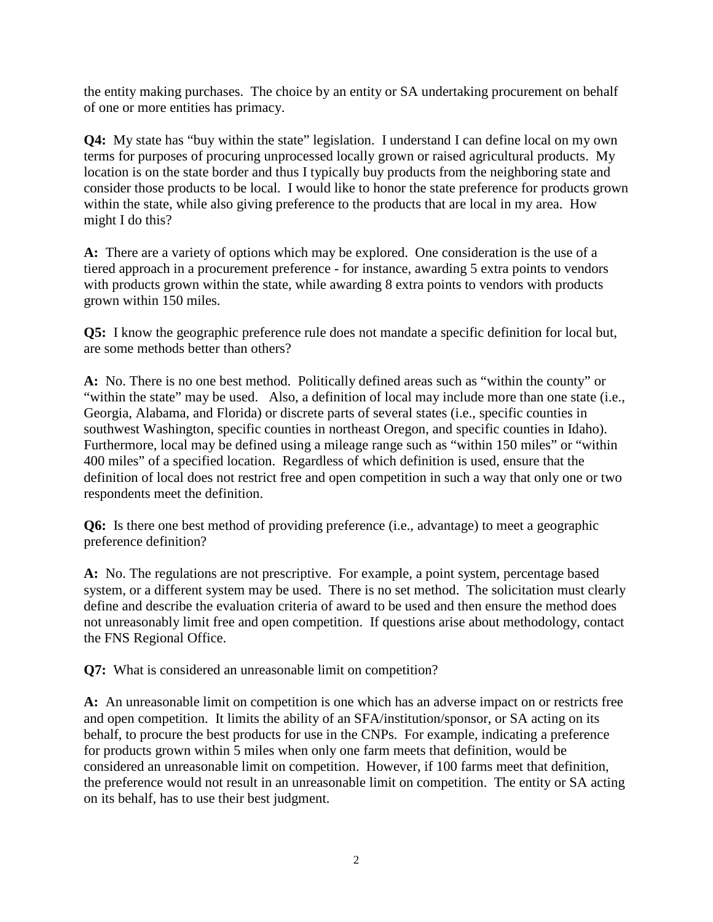the entity making purchases. The choice by an entity or SA undertaking procurement on behalf of one or more entities has primacy.

**Q4:** My state has "buy within the state" legislation. I understand I can define local on my own terms for purposes of procuring unprocessed locally grown or raised agricultural products. My location is on the state border and thus I typically buy products from the neighboring state and consider those products to be local. I would like to honor the state preference for products grown within the state, while also giving preference to the products that are local in my area. How might I do this?

**A:** There are a variety of options which may be explored. One consideration is the use of a tiered approach in a procurement preference - for instance, awarding 5 extra points to vendors with products grown within the state, while awarding 8 extra points to vendors with products grown within 150 miles.

**Q5:** I know the geographic preference rule does not mandate a specific definition for local but, are some methods better than others?

**A:** No. There is no one best method. Politically defined areas such as "within the county" or "within the state" may be used. Also, a definition of local may include more than one state (i.e., Georgia, Alabama, and Florida) or discrete parts of several states (i.e., specific counties in southwest Washington, specific counties in northeast Oregon, and specific counties in Idaho). Furthermore, local may be defined using a mileage range such as "within 150 miles" or "within 400 miles" of a specified location. Regardless of which definition is used, ensure that the definition of local does not restrict free and open competition in such a way that only one or two respondents meet the definition.

**Q6:** Is there one best method of providing preference (i.e., advantage) to meet a geographic preference definition?

**A:** No. The regulations are not prescriptive. For example, a point system, percentage based system, or a different system may be used. There is no set method. The solicitation must clearly define and describe the evaluation criteria of award to be used and then ensure the method does not unreasonably limit free and open competition. If questions arise about methodology, contact the FNS Regional Office.

**Q7:** What is considered an unreasonable limit on competition?

**A:** An unreasonable limit on competition is one which has an adverse impact on or restricts free and open competition. It limits the ability of an SFA/institution/sponsor, or SA acting on its behalf, to procure the best products for use in the CNPs. For example, indicating a preference for products grown within 5 miles when only one farm meets that definition, would be considered an unreasonable limit on competition. However, if 100 farms meet that definition, the preference would not result in an unreasonable limit on competition. The entity or SA acting on its behalf, has to use their best judgment.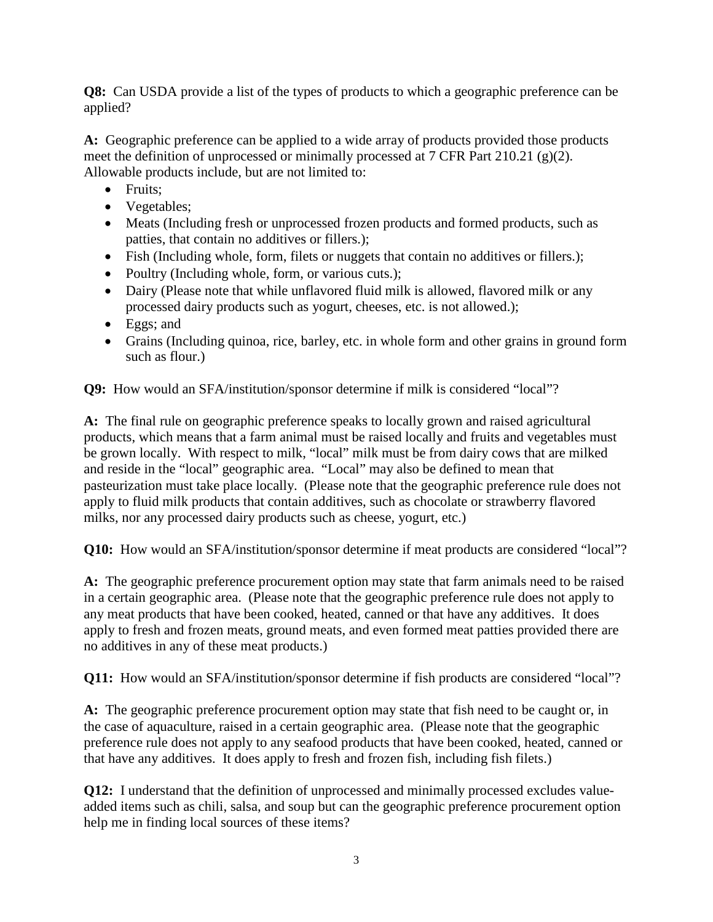**Q8:** Can USDA provide a list of the types of products to which a geographic preference can be applied?

**A:** Geographic preference can be applied to a wide array of products provided those products meet the definition of unprocessed or minimally processed at 7 CFR Part 210.21 (g)(2). Allowable products include, but are not limited to:

- Fruits;
- Vegetables;
- Meats (Including fresh or unprocessed frozen products and formed products, such as patties, that contain no additives or fillers.);
- Fish (Including whole, form, filets or nuggets that contain no additives or fillers.);
- Poultry (Including whole, form, or various cuts.);
- Dairy (Please note that while unflavored fluid milk is allowed, flavored milk or any processed dairy products such as yogurt, cheeses, etc. is not allowed.);
- Eggs; and
- Grains (Including quinoa, rice, barley, etc. in whole form and other grains in ground form such as flour.)

**Q9:** How would an SFA/institution/sponsor determine if milk is considered "local"?

**A:** The final rule on geographic preference speaks to locally grown and raised agricultural products, which means that a farm animal must be raised locally and fruits and vegetables must be grown locally. With respect to milk, "local" milk must be from dairy cows that are milked and reside in the "local" geographic area. "Local" may also be defined to mean that pasteurization must take place locally. (Please note that the geographic preference rule does not apply to fluid milk products that contain additives, such as chocolate or strawberry flavored milks, nor any processed dairy products such as cheese, yogurt, etc.)

**Q10:** How would an SFA/institution/sponsor determine if meat products are considered "local"?

**A:** The geographic preference procurement option may state that farm animals need to be raised in a certain geographic area. (Please note that the geographic preference rule does not apply to any meat products that have been cooked, heated, canned or that have any additives. It does apply to fresh and frozen meats, ground meats, and even formed meat patties provided there are no additives in any of these meat products.)

**Q11:** How would an SFA/institution/sponsor determine if fish products are considered "local"?

**A:** The geographic preference procurement option may state that fish need to be caught or, in the case of aquaculture, raised in a certain geographic area. (Please note that the geographic preference rule does not apply to any seafood products that have been cooked, heated, canned or that have any additives. It does apply to fresh and frozen fish, including fish filets.)

**Q12:** I understand that the definition of unprocessed and minimally processed excludes valueadded items such as chili, salsa, and soup but can the geographic preference procurement option help me in finding local sources of these items?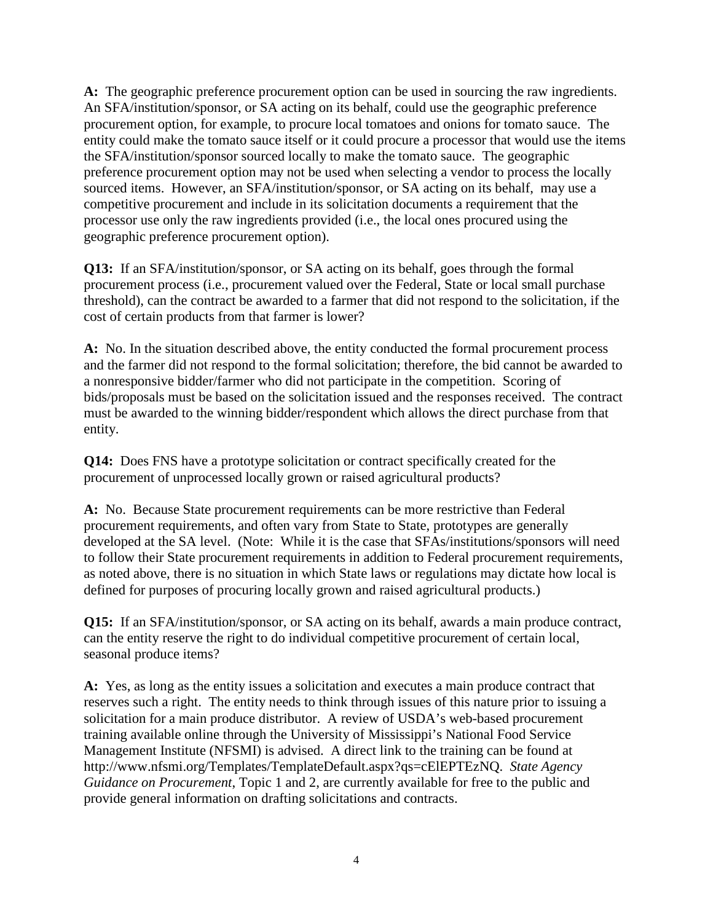**A:** The geographic preference procurement option can be used in sourcing the raw ingredients. An SFA/institution/sponsor, or SA acting on its behalf, could use the geographic preference procurement option, for example, to procure local tomatoes and onions for tomato sauce. The entity could make the tomato sauce itself or it could procure a processor that would use the items the SFA/institution/sponsor sourced locally to make the tomato sauce. The geographic preference procurement option may not be used when selecting a vendor to process the locally sourced items. However, an SFA/institution/sponsor, or SA acting on its behalf, may use a competitive procurement and include in its solicitation documents a requirement that the processor use only the raw ingredients provided (i.e., the local ones procured using the geographic preference procurement option).

**Q13:** If an SFA/institution/sponsor, or SA acting on its behalf, goes through the formal procurement process (i.e., procurement valued over the Federal, State or local small purchase threshold), can the contract be awarded to a farmer that did not respond to the solicitation, if the cost of certain products from that farmer is lower?

**A:** No. In the situation described above, the entity conducted the formal procurement process and the farmer did not respond to the formal solicitation; therefore, the bid cannot be awarded to a nonresponsive bidder/farmer who did not participate in the competition. Scoring of bids/proposals must be based on the solicitation issued and the responses received. The contract must be awarded to the winning bidder/respondent which allows the direct purchase from that entity.

**Q14:** Does FNS have a prototype solicitation or contract specifically created for the procurement of unprocessed locally grown or raised agricultural products?

**A:** No. Because State procurement requirements can be more restrictive than Federal procurement requirements, and often vary from State to State, prototypes are generally developed at the SA level. (Note: While it is the case that SFAs/institutions/sponsors will need to follow their State procurement requirements in addition to Federal procurement requirements, as noted above, there is no situation in which State laws or regulations may dictate how local is defined for purposes of procuring locally grown and raised agricultural products.)

**Q15:** If an SFA/institution/sponsor, or SA acting on its behalf, awards a main produce contract, can the entity reserve the right to do individual competitive procurement of certain local, seasonal produce items?

**A:** Yes, as long as the entity issues a solicitation and executes a main produce contract that reserves such a right. The entity needs to think through issues of this nature prior to issuing a solicitation for a main produce distributor. A review of USDA's web-based procurement training available online through the University of Mississippi's National Food Service Management Institute (NFSMI) is advised. A direct link to the training can be found at http://www.nfsmi.org/Templates/TemplateDefault.aspx?qs=cElEPTEzNQ. *State Agency Guidance on Procurement*, Topic 1 and 2, are currently available for free to the public and provide general information on drafting solicitations and contracts.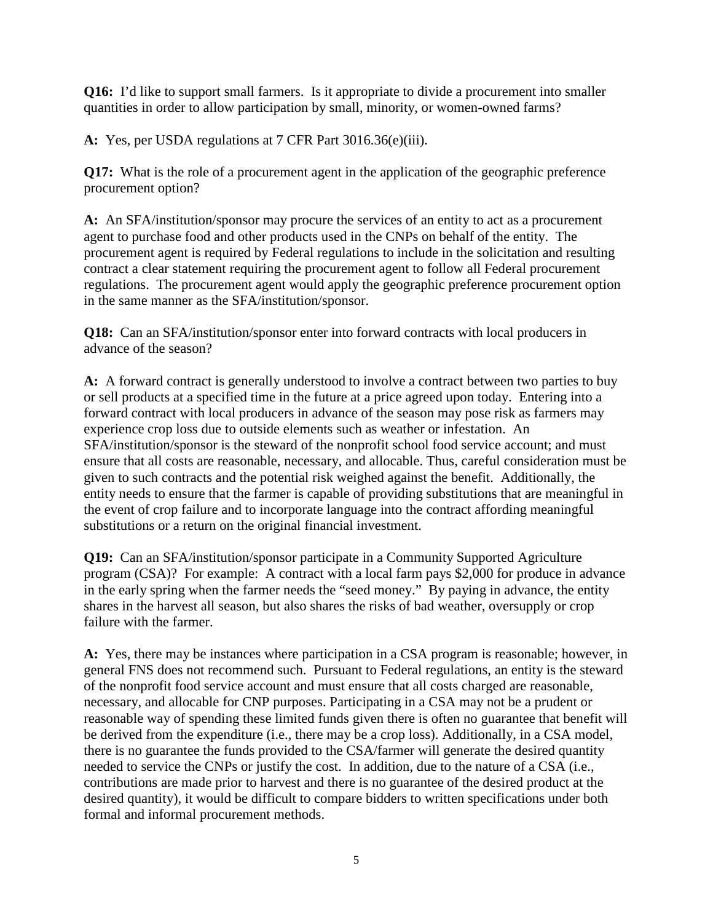**Q16:** I'd like to support small farmers. Is it appropriate to divide a procurement into smaller quantities in order to allow participation by small, minority, or women-owned farms?

**A:** Yes, per USDA regulations at 7 CFR Part 3016.36(e)(iii).

**Q17:** What is the role of a procurement agent in the application of the geographic preference procurement option?

**A:** An SFA/institution/sponsor may procure the services of an entity to act as a procurement agent to purchase food and other products used in the CNPs on behalf of the entity. The procurement agent is required by Federal regulations to include in the solicitation and resulting contract a clear statement requiring the procurement agent to follow all Federal procurement regulations. The procurement agent would apply the geographic preference procurement option in the same manner as the SFA/institution/sponsor.

**Q18:** Can an SFA/institution/sponsor enter into forward contracts with local producers in advance of the season?

**A:** A forward contract is generally understood to involve a contract between two parties to buy or sell products at a specified time in the future at a price agreed upon today. Entering into a forward contract with local producers in advance of the season may pose risk as farmers may experience crop loss due to outside elements such as weather or infestation. An SFA/institution/sponsor is the steward of the nonprofit school food service account; and must ensure that all costs are reasonable, necessary, and allocable. Thus, careful consideration must be given to such contracts and the potential risk weighed against the benefit. Additionally, the entity needs to ensure that the farmer is capable of providing substitutions that are meaningful in the event of crop failure and to incorporate language into the contract affording meaningful substitutions or a return on the original financial investment.

**Q19:** Can an SFA/institution/sponsor participate in a Community Supported Agriculture program (CSA)? For example: A contract with a local farm pays \$2,000 for produce in advance in the early spring when the farmer needs the "seed money." By paying in advance, the entity shares in the harvest all season, but also shares the risks of bad weather, oversupply or crop failure with the farmer.

**A:** Yes, there may be instances where participation in a CSA program is reasonable; however, in general FNS does not recommend such. Pursuant to Federal regulations, an entity is the steward of the nonprofit food service account and must ensure that all costs charged are reasonable, necessary, and allocable for CNP purposes. Participating in a CSA may not be a prudent or reasonable way of spending these limited funds given there is often no guarantee that benefit will be derived from the expenditure (i.e., there may be a crop loss). Additionally, in a CSA model, there is no guarantee the funds provided to the CSA/farmer will generate the desired quantity needed to service the CNPs or justify the cost. In addition, due to the nature of a CSA (i.e., contributions are made prior to harvest and there is no guarantee of the desired product at the desired quantity), it would be difficult to compare bidders to written specifications under both formal and informal procurement methods.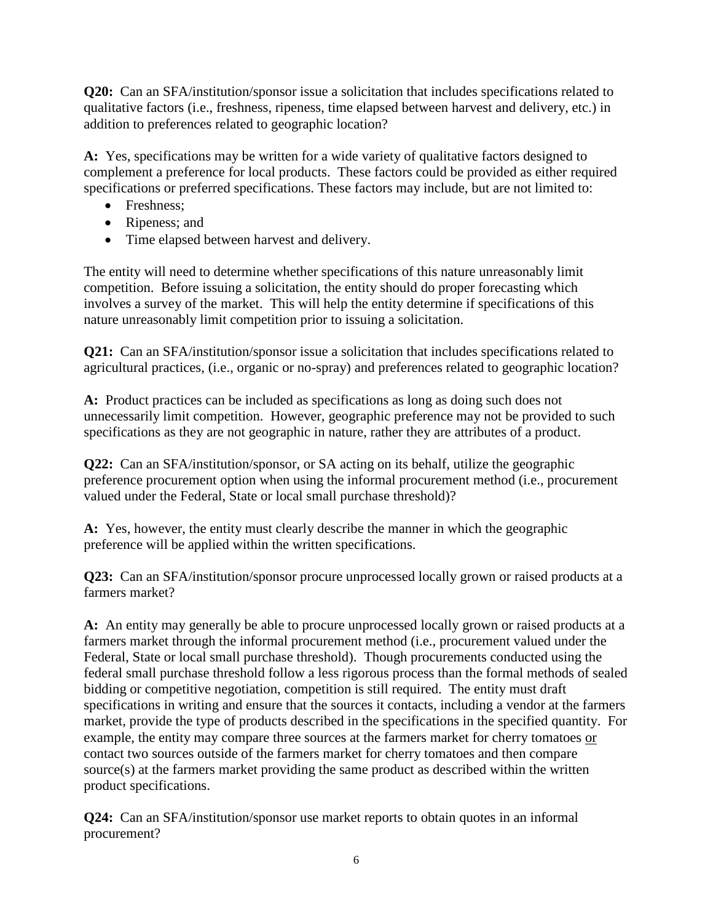**Q20:** Can an SFA/institution/sponsor issue a solicitation that includes specifications related to qualitative factors (i.e., freshness, ripeness, time elapsed between harvest and delivery, etc.) in addition to preferences related to geographic location?

**A:** Yes, specifications may be written for a wide variety of qualitative factors designed to complement a preference for local products. These factors could be provided as either required specifications or preferred specifications. These factors may include, but are not limited to:

- Freshness:
- Ripeness; and
- Time elapsed between harvest and delivery.

The entity will need to determine whether specifications of this nature unreasonably limit competition. Before issuing a solicitation, the entity should do proper forecasting which involves a survey of the market. This will help the entity determine if specifications of this nature unreasonably limit competition prior to issuing a solicitation.

**Q21:** Can an SFA/institution/sponsor issue a solicitation that includes specifications related to agricultural practices, (i.e., organic or no-spray) and preferences related to geographic location?

**A:** Product practices can be included as specifications as long as doing such does not unnecessarily limit competition. However, geographic preference may not be provided to such specifications as they are not geographic in nature, rather they are attributes of a product.

**Q22:** Can an SFA/institution/sponsor, or SA acting on its behalf, utilize the geographic preference procurement option when using the informal procurement method (i.e., procurement valued under the Federal, State or local small purchase threshold)?

**A:** Yes, however, the entity must clearly describe the manner in which the geographic preference will be applied within the written specifications.

**Q23:** Can an SFA/institution/sponsor procure unprocessed locally grown or raised products at a farmers market?

**A:** An entity may generally be able to procure unprocessed locally grown or raised products at a farmers market through the informal procurement method (i.e., procurement valued under the Federal, State or local small purchase threshold). Though procurements conducted using the federal small purchase threshold follow a less rigorous process than the formal methods of sealed bidding or competitive negotiation, competition is still required. The entity must draft specifications in writing and ensure that the sources it contacts, including a vendor at the farmers market, provide the type of products described in the specifications in the specified quantity. For example, the entity may compare three sources at the farmers market for cherry tomatoes or contact two sources outside of the farmers market for cherry tomatoes and then compare source(s) at the farmers market providing the same product as described within the written product specifications.

**Q24:** Can an SFA/institution/sponsor use market reports to obtain quotes in an informal procurement?